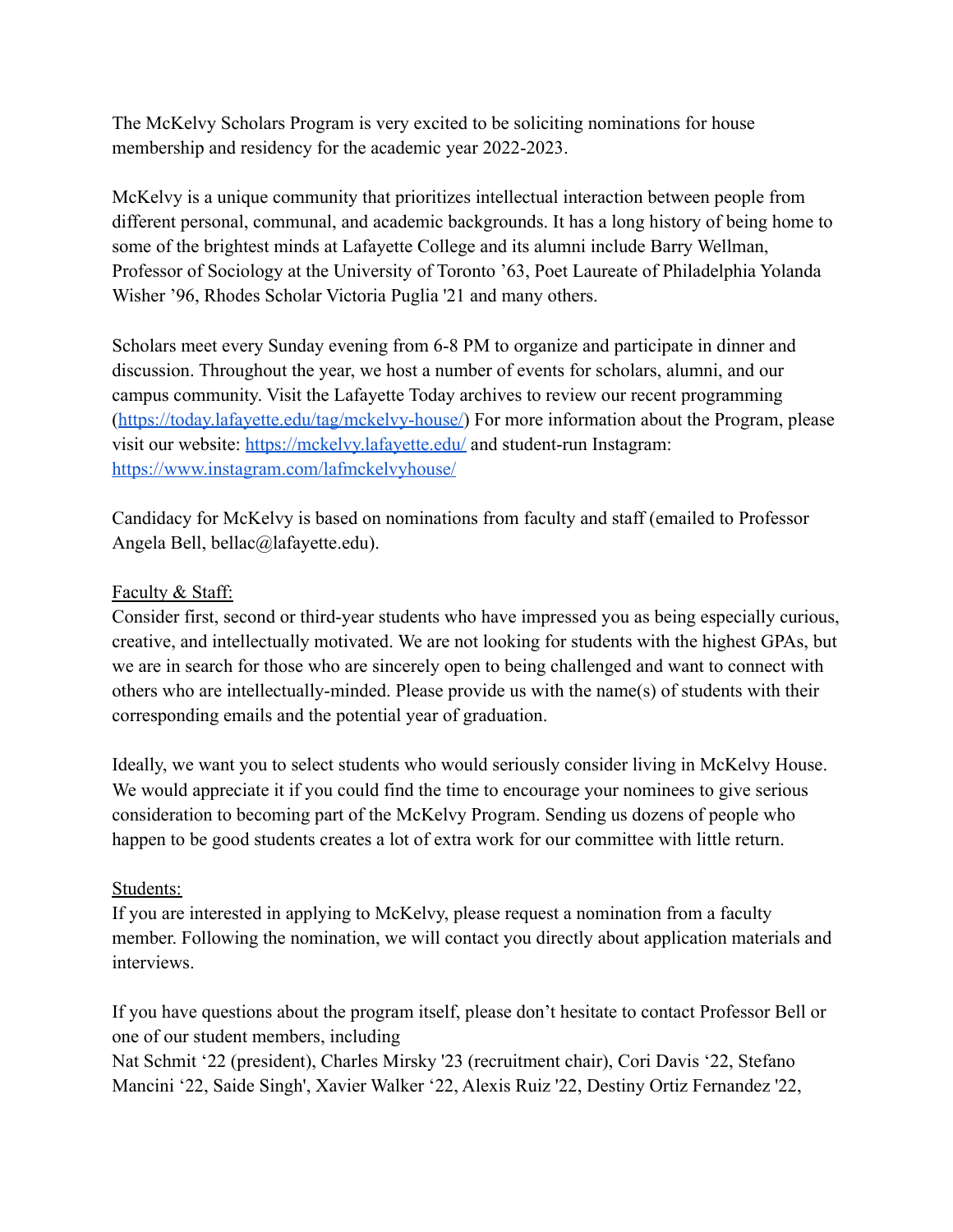The McKelvy Scholars Program is very excited to be soliciting nominations for house membership and residency for the academic year 2022-2023.

McKelvy is a unique community that prioritizes intellectual interaction between people from different personal, communal, and academic backgrounds. It has a long history of being home to some of the brightest minds at Lafayette College and its alumni include Barry Wellman, Professor of Sociology at the University of Toronto '63, Poet Laureate of Philadelphia Yolanda Wisher '96, Rhodes Scholar Victoria Puglia '21 and many others.

Scholars meet every Sunday evening from 6-8 PM to organize and participate in dinner and discussion. Throughout the year, we host a number of events for scholars, alumni, and our campus community. Visit the Lafayette Today archives to review our recent programming ([https://today.lafayette.edu/tag/mckelvy-house/\)](https://today.lafayette.edu/tag/mckelvy-house/) For more information about the Program, please visit our website: <https://mckelvy.lafayette.edu/> and student-run Instagram: <https://www.instagram.com/lafmckelvyhouse/>

Candidacy for McKelvy is based on nominations from faculty and staff (emailed to Professor Angela Bell, bellac@lafayette.edu).

## Faculty & Staff:

Consider first, second or third-year students who have impressed you as being especially curious, creative, and intellectually motivated. We are not looking for students with the highest GPAs, but we are in search for those who are sincerely open to being challenged and want to connect with others who are intellectually-minded. Please provide us with the name(s) of students with their corresponding emails and the potential year of graduation.

Ideally, we want you to select students who would seriously consider living in McKelvy House. We would appreciate it if you could find the time to encourage your nominees to give serious consideration to becoming part of the McKelvy Program. Sending us dozens of people who happen to be good students creates a lot of extra work for our committee with little return.

## Students:

If you are interested in applying to McKelvy, please request a nomination from a faculty member. Following the nomination, we will contact you directly about application materials and interviews.

If you have questions about the program itself, please don't hesitate to contact Professor Bell or one of our student members, including

Nat Schmit '22 (president), Charles Mirsky '23 (recruitment chair), Cori Davis '22, Stefano Mancini '22, Saide Singh', Xavier Walker '22, Alexis Ruiz '22, Destiny Ortiz Fernandez '22,